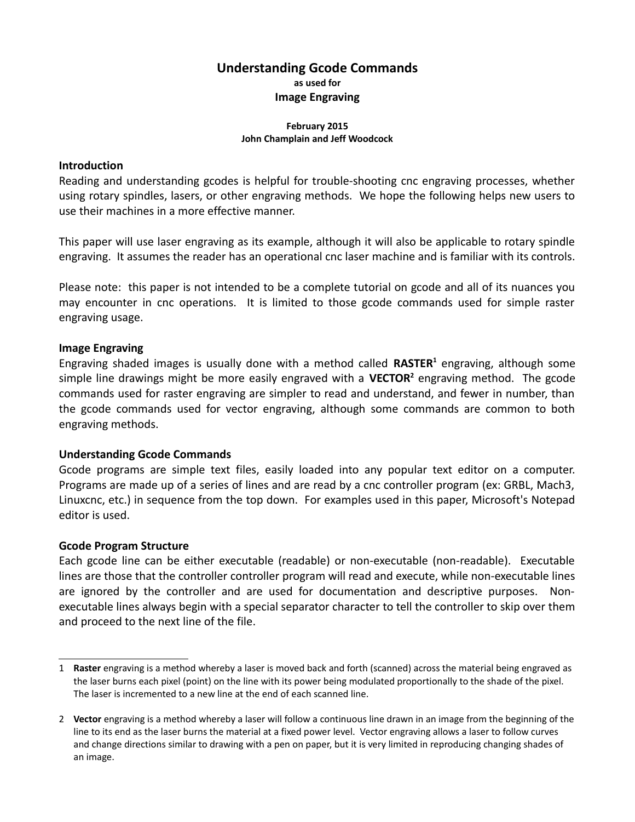# **Understanding Gcode Commands as used for Image Engraving**

#### **February 2015 John Champlain and Jeff Woodcock**

## **Introduction**

Reading and understanding gcodes is helpful for trouble-shooting cnc engraving processes, whether using rotary spindles, lasers, or other engraving methods. We hope the following helps new users to use their machines in a more effective manner.

This paper will use laser engraving as its example, although it will also be applicable to rotary spindle engraving. It assumes the reader has an operational cnc laser machine and is familiar with its controls.

Please note: this paper is not intended to be a complete tutorial on gcode and all of its nuances you may encounter in cnc operations. It is limited to those gcode commands used for simple raster engraving usage.

## **Image Engraving**

Engraving shaded images is usually done with a method called RASTER<sup>[1](#page-0-0)</sup> engraving, although some simple line drawings might be more easily engraved with a **VECTOR[2](#page-0-1)** engraving method. The gcode commands used for raster engraving are simpler to read and understand, and fewer in number, than the gcode commands used for vector engraving, although some commands are common to both engraving methods.

## **Understanding Gcode Commands**

Gcode programs are simple text files, easily loaded into any popular text editor on a computer. Programs are made up of a series of lines and are read by a cnc controller program (ex: GRBL, Mach3, Linuxcnc, etc.) in sequence from the top down. For examples used in this paper, Microsoft's Notepad editor is used.

## **Gcode Program Structure**

Each gcode line can be either executable (readable) or non-executable (non-readable). Executable lines are those that the controller controller program will read and execute, while non-executable lines are ignored by the controller and are used for documentation and descriptive purposes. Nonexecutable lines always begin with a special separator character to tell the controller to skip over them and proceed to the next line of the file.

<span id="page-0-0"></span><sup>1</sup> **Raster** engraving is a method whereby a laser is moved back and forth (scanned) across the material being engraved as the laser burns each pixel (point) on the line with its power being modulated proportionally to the shade of the pixel. The laser is incremented to a new line at the end of each scanned line.

<span id="page-0-1"></span><sup>2</sup> **Vector** engraving is a method whereby a laser will follow a continuous line drawn in an image from the beginning of the line to its end as the laser burns the material at a fixed power level. Vector engraving allows a laser to follow curves and change directions similar to drawing with a pen on paper, but it is very limited in reproducing changing shades of an image.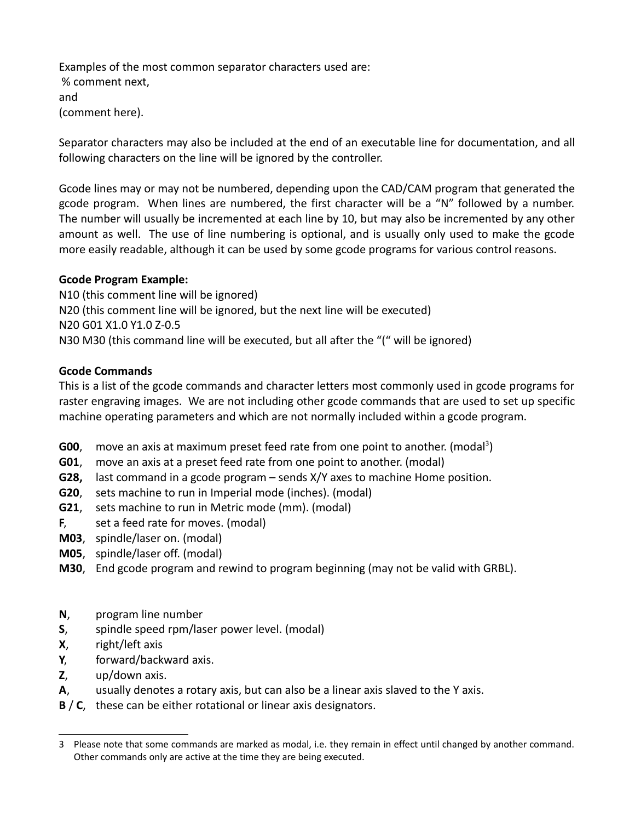Examples of the most common separator characters used are: % comment next, and (comment here).

Separator characters may also be included at the end of an executable line for documentation, and all following characters on the line will be ignored by the controller.

Gcode lines may or may not be numbered, depending upon the CAD/CAM program that generated the gcode program. When lines are numbered, the first character will be a "N" followed by a number. The number will usually be incremented at each line by 10, but may also be incremented by any other amount as well. The use of line numbering is optional, and is usually only used to make the gcode more easily readable, although it can be used by some gcode programs for various control reasons.

## **Gcode Program Example:**

N10 (this comment line will be ignored) N20 (this comment line will be ignored, but the next line will be executed) N20 G01 X1.0 Y1.0 Z-0.5 N30 M30 (this command line will be executed, but all after the "(" will be ignored)

# **Gcode Commands**

This is a list of the gcode commands and character letters most commonly used in gcode programs for raster engraving images. We are not including other gcode commands that are used to set up specific machine operating parameters and which are not normally included within a gcode program.

- G00, move an axis at maximum preset feed rate from one point to another. (modal<sup>[3](#page-1-0)</sup>)
- **G01**, move an axis at a preset feed rate from one point to another. (modal)
- **G28,** last command in a gcode program sends X/Y axes to machine Home position.
- **G20**, sets machine to run in Imperial mode (inches). (modal)
- **G21**, sets machine to run in Metric mode (mm). (modal)
- **F**, set a feed rate for moves. (modal)
- **M03**, spindle/laser on. (modal)
- **M05**, spindle/laser off. (modal)
- **M30**, End gcode program and rewind to program beginning (may not be valid with GRBL).
- **N**, program line number
- **S**, spindle speed rpm/laser power level. (modal)
- **X**, right/left axis
- **Y**, forward/backward axis.
- **Z**, up/down axis.
- **A**, usually denotes a rotary axis, but can also be a linear axis slaved to the Y axis.
- **B** / **C**, these can be either rotational or linear axis designators.

<span id="page-1-0"></span><sup>3</sup> Please note that some commands are marked as modal, i.e. they remain in effect until changed by another command. Other commands only are active at the time they are being executed.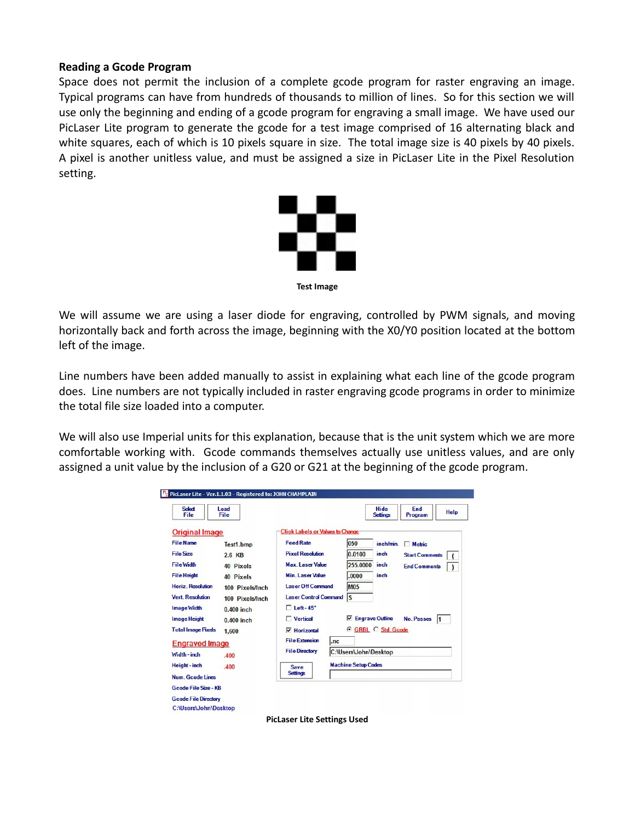### **Reading a Gcode Program**

Space does not permit the inclusion of a complete gcode program for raster engraving an image. Typical programs can have from hundreds of thousands to million of lines. So for this section we will use only the beginning and ending of a gcode program for engraving a small image. We have used our PicLaser Lite program to generate the gcode for a test image comprised of 16 alternating black and white squares, each of which is 10 pixels square in size. The total image size is 40 pixels by 40 pixels. A pixel is another unitless value, and must be assigned a size in PicLaser Lite in the Pixel Resolution setting.



**Test Image**

We will assume we are using a laser diode for engraving, controlled by PWM signals, and moving horizontally back and forth across the image, beginning with the X0/Y0 position located at the bottom left of the image.

Line numbers have been added manually to assist in explaining what each line of the gcode program does. Line numbers are not typically included in raster engraving gcode programs in order to minimize the total file size loaded into a computer.

We will also use Imperial units for this explanation, because that is the unit system which we are more comfortable working with. Gcode commands themselves actually use unitless values, and are only assigned a unit value by the inclusion of a G20 or G21 at the beginning of the gcode program.

| Select<br>File              | Load<br>File    |                                                | End<br><b>Hide</b><br>Help<br><b>Settings</b><br>Program |
|-----------------------------|-----------------|------------------------------------------------|----------------------------------------------------------|
| <b>Original Image</b>       |                 | <b>Click Labels or Values to Change</b>        |                                                          |
| <b>File Name</b>            | Test1.bmp       | <b>Feed Rate</b>                               | 050<br>inch/min.<br>$\Box$ Metric                        |
| <b>File Size</b>            | 2.6 KB          | <b>Pixel Resolution</b>                        | 0.0100<br>inch<br><b>Start Comments</b>                  |
| <b>File Width</b>           | 40 Pixels       | <b>Max. Laser Value</b>                        | 255.0000<br>inch<br><b>End Comments</b>                  |
| <b>File Height</b>          | 40 Pixels       | <b>Min. Laser Value</b>                        | inch<br>.0000                                            |
| <b>Horiz, Resolution</b>    | 100 Pixels/Inch | <b>Laser Off Command</b>                       | <b>M05</b>                                               |
| <b>Vert. Resolution</b>     | 100 Pixels/Inch | <b>Laser Control Command</b>                   | ls                                                       |
| Image Width                 | $0.400$ inch    | $\Box$ Left-45°                                |                                                          |
| <b>Image Height</b>         | $0.400$ inch    | $\Box$ Vertical                                | <b>Engrave Outline</b><br>⊽<br><b>No. Passes</b><br>11   |
| <b>Total Image Pixels</b>   | 1.600           | $\nabla$ Horizontal                            | <b>GRBL C Std. Gcode</b>                                 |
| <b>Engraved Image</b>       |                 | <b>File Extension</b><br>.nc                   |                                                          |
| Width - inch                | 400             | <b>File Directory</b><br>C:\Users\John\Desktop |                                                          |
| Height-inch                 | .400            | <b>Machine Setup Codes</b><br><b>Save</b>      |                                                          |
| <b>Num.</b> Goode Lines     |                 | <b>Settings</b>                                |                                                          |
| <b>Gcode File Size - KB</b> |                 |                                                |                                                          |

**PicLaser Lite Settings Used**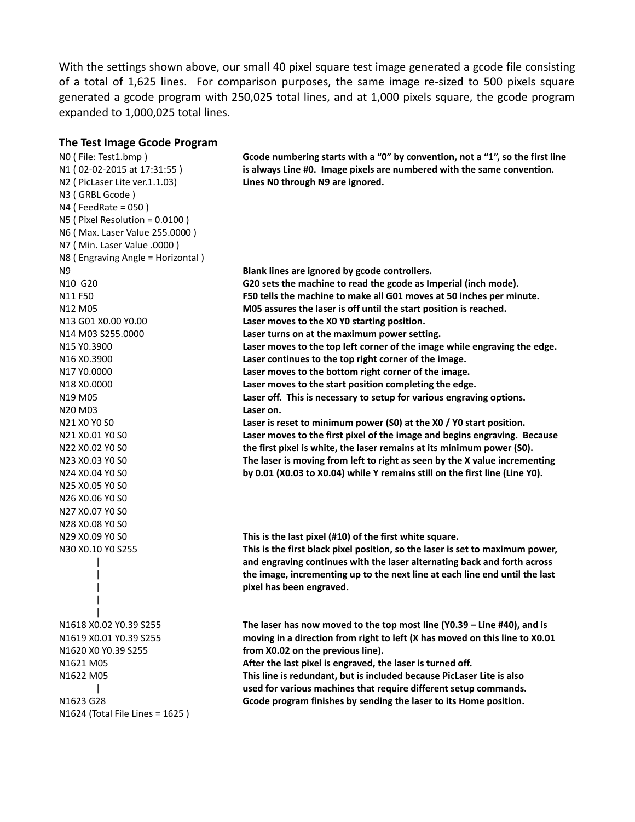With the settings shown above, our small 40 pixel square test image generated a gcode file consisting of a total of 1,625 lines. For comparison purposes, the same image re-sized to 500 pixels square generated a gcode program with 250,025 total lines, and at 1,000 pixels square, the gcode program expanded to 1,000,025 total lines.

### **The Test Image Gcode Program**

N0 ( File: Test1.bmp ) **Gcode numbering starts with a "0" by convention, not a "1", so the first line**  N1 ( 02-02-2015 at 17:31:55 ) **is always Line #0. Image pixels are numbered with the same convention.** N2 ( PicLaser Lite ver.1.1.03) **Lines N0 through N9 are ignored.** N3 ( GRBL Gcode ) N4 ( FeedRate = 050 ) N5 ( Pixel Resolution = 0.0100 ) N6 ( Max. Laser Value 255.0000 ) N7 ( Min. Laser Value .0000 ) N8 ( Engraving Angle = Horizontal ) N9 **Blank lines are ignored by gcode controllers.** N10 G20 **G20 sets the machine to read the gcode as Imperial (inch mode).** N11 F50 **F50 tells the machine to make all G01 moves at 50 inches per minute.** N12 M05 **M05 assures the laser is off until the start position is reached.** N13 G01 X0.00 Y0.00 **Laser moves to the X0 Y0 starting position.** N14 M03 S255.0000 **Laser turns on at the maximum power setting.** N15 Y0.3900 **Laser moves to the top left corner of the image while engraving the edge.** N16 X0.3900 **Laser continues to the top right corner of the image.** N17 Y0.0000 **Laser moves to the bottom right corner of the image.** N18 X0.0000 **Laser moves to the start position completing the edge.** N19 M05 **Laser off. This is necessary to setup for various engraving options.** N20 M03 **Laser on.** N21 X0 Y0 S0 **Laser is reset to minimum power (S0) at the X0 / Y0 start position.** N21 X0.01 Y0 S0 **Laser moves to the first pixel of the image and begins engraving. Because** N22 X0.02 Y0 S0 **the first pixel is white, the laser remains at its minimum power (S0).** N23 X0.03 Y0 S0 **The laser is moving from left to right as seen by the X value incrementing** N24 X0.04 Y0 S0 **by 0.01 (X0.03 to X0.04) while Y remains still on the first line (Line Y0).** N25 X0.05 Y0 S0 N26 X0.06 Y0 S0 N27 X0.07 Y0 S0 N28 X0.08 Y0 S0 N29 X0.09 Y0 S0 **This is the last pixel (#10) of the first white square.** N30 X0.10 Y0 S255 **This is the first black pixel position, so the laser is set to maximum power,**  and engraving continues with the laser alternating back and forth across | **the image, incrementing up to the next line at each line end until the last**  | **pixel has been engraved.** | | N1618 X0.02 Y0.39 S255 **The laser has now moved to the top most line (Y0.39 – Line #40), and is**  N1619 X0.01 Y0.39 S255 **moving in a direction from right to left (X has moved on this line to X0.01**  N1620 X0 Y0.39 S255 **from X0.02 on the previous line).** N1621 M05 **After the last pixel is engraved, the laser is turned off.** N1622 M05 **This line is redundant, but is included because PicLaser Lite is also**  | **used for various machines that require different setup commands.** N1623 G28 **Gcode program finishes by sending the laser to its Home position.** N1624 (Total File Lines = 1625 )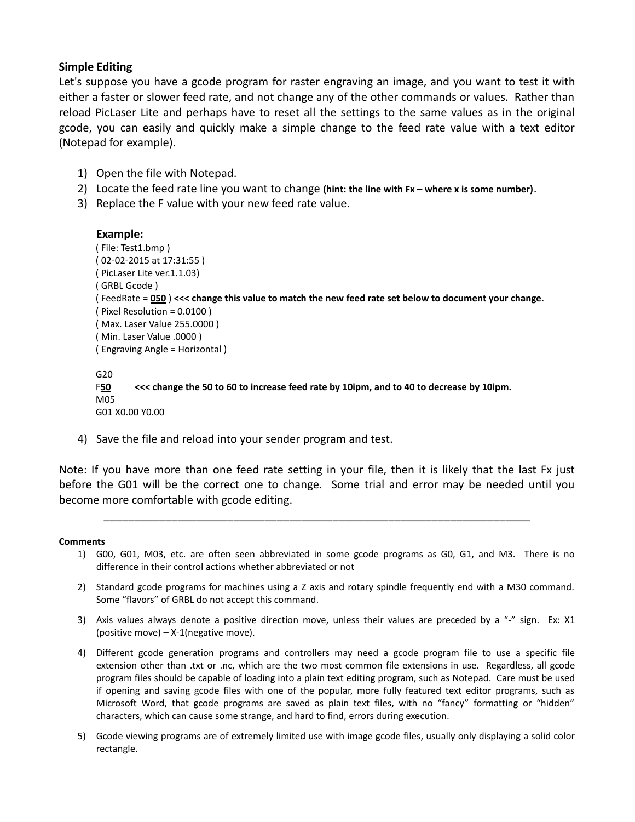## **Simple Editing**

Let's suppose you have a gcode program for raster engraving an image, and you want to test it with either a faster or slower feed rate, and not change any of the other commands or values. Rather than reload PicLaser Lite and perhaps have to reset all the settings to the same values as in the original gcode, you can easily and quickly make a simple change to the feed rate value with a text editor (Notepad for example).

- 1) Open the file with Notepad.
- 2) Locate the feed rate line you want to change **(hint: the line with Fx where x is some number)**.
- 3) Replace the F value with your new feed rate value.

## **Example:**

M05

G01 X0.00 Y0.00

```
( File: Test1.bmp )
( 02-02-2015 at 17:31:55 )
( PicLaser Lite ver.1.1.03)
( GRBL Gcode )
( FeedRate = 050 ) <<< change this value to match the new feed rate set below to document your change.
( Pixel Resolution = 0.0100 )
( Max. Laser Value 255.0000 )
( Min. Laser Value .0000 )
( Engraving Angle = Horizontal )
G20
F50 <<< change the 50 to 60 to increase feed rate by 10ipm, and to 40 to decrease by 10ipm.
```
4) Save the file and reload into your sender program and test.

Note: If you have more than one feed rate setting in your file, then it is likely that the last Fx just before the G01 will be the correct one to change. Some trial and error may be needed until you become more comfortable with gcode editing.

\_\_\_\_\_\_\_\_\_\_\_\_\_\_\_\_\_\_\_\_\_\_\_\_\_\_\_\_\_\_\_\_\_\_\_\_\_\_\_\_\_\_\_\_\_\_\_\_\_\_\_\_\_\_\_\_\_\_\_\_\_\_\_\_\_\_\_\_\_

#### **Comments**

- 1) G00, G01, M03, etc. are often seen abbreviated in some gcode programs as G0, G1, and M3. There is no difference in their control actions whether abbreviated or not
- 2) Standard gcode programs for machines using a Z axis and rotary spindle frequently end with a M30 command. Some "flavors" of GRBL do not accept this command.
- 3) Axis values always denote a positive direction move, unless their values are preceded by a "-" sign. Ex: X1 (positive move) – X-1(negative move).
- 4) Different gcode generation programs and controllers may need a gcode program file to use a specific file extension other than .txt or .nc, which are the two most common file extensions in use. Regardless, all gcode program files should be capable of loading into a plain text editing program, such as Notepad. Care must be used if opening and saving gcode files with one of the popular, more fully featured text editor programs, such as Microsoft Word, that gcode programs are saved as plain text files, with no "fancy" formatting or "hidden" characters, which can cause some strange, and hard to find, errors during execution.
- 5) Gcode viewing programs are of extremely limited use with image gcode files, usually only displaying a solid color rectangle.